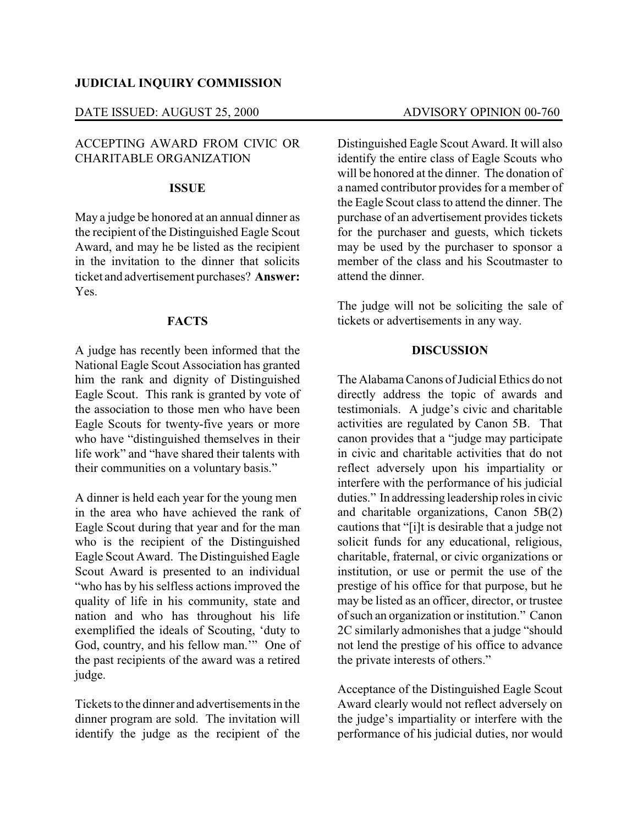### **JUDICIAL INQUIRY COMMISSION**

### DATE ISSUED: AUGUST 25, 2000 ADVISORY OPINION 00-760

# ACCEPTING AWARD FROM CIVIC OR CHARITABLE ORGANIZATION

#### **ISSUE**

May a judge be honored at an annual dinner as the recipient of the Distinguished Eagle Scout Award, and may he be listed as the recipient in the invitation to the dinner that solicits ticket and advertisement purchases? **Answer:** Yes.

# **FACTS**

A judge has recently been informed that the National Eagle Scout Association has granted him the rank and dignity of Distinguished Eagle Scout. This rank is granted by vote of the association to those men who have been Eagle Scouts for twenty-five years or more who have "distinguished themselves in their life work" and "have shared their talents with their communities on a voluntary basis."

A dinner is held each year for the young men in the area who have achieved the rank of Eagle Scout during that year and for the man who is the recipient of the Distinguished Eagle Scout Award. The Distinguished Eagle Scout Award is presented to an individual "who has by his selfless actions improved the quality of life in his community, state and nation and who has throughout his life exemplified the ideals of Scouting, 'duty to God, country, and his fellow man.'" One of the past recipients of the award was a retired judge.

Tickets to the dinner and advertisements in the dinner program are sold. The invitation will identify the judge as the recipient of the Distinguished Eagle Scout Award. It will also identify the entire class of Eagle Scouts who will be honored at the dinner. The donation of a named contributor provides for a member of the Eagle Scout class to attend the dinner. The purchase of an advertisement provides tickets for the purchaser and guests, which tickets may be used by the purchaser to sponsor a member of the class and his Scoutmaster to attend the dinner.

The judge will not be soliciting the sale of tickets or advertisements in any way.

### **DISCUSSION**

The AlabamaCanons of Judicial Ethics do not directly address the topic of awards and testimonials. A judge's civic and charitable activities are regulated by Canon 5B. That canon provides that a "judge may participate in civic and charitable activities that do not reflect adversely upon his impartiality or interfere with the performance of his judicial duties." In addressing leadership roles in civic and charitable organizations, Canon 5B(2) cautions that "[i]t is desirable that a judge not solicit funds for any educational, religious, charitable, fraternal, or civic organizations or institution, or use or permit the use of the prestige of his office for that purpose, but he may be listed as an officer, director, or trustee of such an organization or institution." Canon 2C similarly admonishes that a judge "should not lend the prestige of his office to advance the private interests of others."

Acceptance of the Distinguished Eagle Scout Award clearly would not reflect adversely on the judge's impartiality or interfere with the performance of his judicial duties, nor would